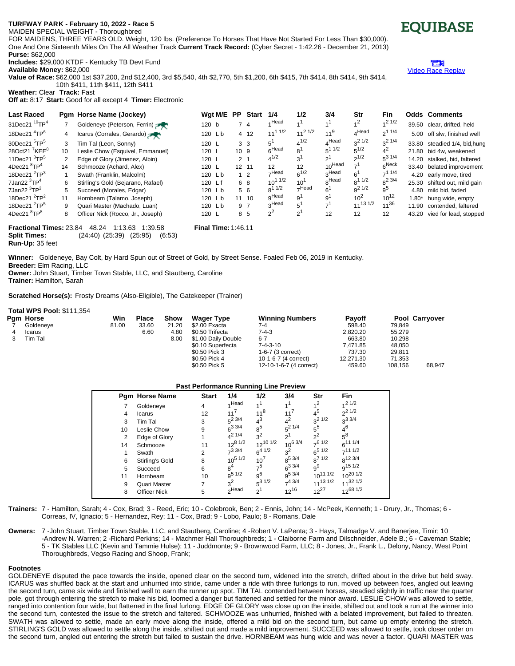## **TURFWAY PAR\*K - February 10, 2022 - Race 5**

MAIDEN SPECIAL WEIGHT - Thoroughbred

FOR MAIDENS, THREE YEARS OLD. Weight, 120 lbs. (Preference To Horses That Have Not Started For Less Than \$30,000). One And One Sixteenth Miles On The All Weather Track **Current Track Record:** (Cyber Secret - 1:42.26 - December 21, 2013) **Purse:** \$62,000

**Includes:** \$29,000 KTDF - Kentucky TB Devt Fund

**Available Money:** \$62,000

**Value of Race:** \$62,000 1st \$37,200, 2nd \$12,400, 3rd \$5,540, 4th \$2,770, 5th \$1,200, 6th \$415, 7th \$414, 8th \$414, 9th \$414, 10th \$411, 11th \$411, 12th \$411

**Weather:** Clear **Track:** Fast

**Off at:** 8:17 **Start:** Good for all except 4 **Timer:** Electronic

| <b>Last Raced</b>                         |                                                                                             | Pgm Horse Name (Jockey)            | Wgt M/E PP |                | <b>Start</b>   | 1/4               | 1/2            | 3/4               | Str               | Fin               |         | <b>Odds Comments</b>          |
|-------------------------------------------|---------------------------------------------------------------------------------------------|------------------------------------|------------|----------------|----------------|-------------------|----------------|-------------------|-------------------|-------------------|---------|-------------------------------|
| 31Dec21 <sup>10</sup> TP <sup>4</sup>     |                                                                                             | Goldeneye (Peterson, Ferrin)       | 120 b      | $\overline{7}$ | $\overline{4}$ | 4 Head            | $\lambda$ 1    | 1 <sup>1</sup>    | 1 <sup>2</sup>    | $1/2$ 1/2         |         | 39.50 clear, drifted, held    |
| 18Dec21 $4TP^6$                           | 4                                                                                           | Icarus (Corrales, Gerardo)         | 120 Lb     |                | 4 12           | $11^{11/2}$       | $11^{21/2}$    | $11^{9}$          | $4^{\text{Head}}$ | $2^{11/4}$        |         | 5.00 off slw, finished well   |
| 30Dec21 <sup>5</sup> TP <sup>5</sup>      | 3                                                                                           | Tim Tal (Leon, Sonny)              | 120 L      |                | 3 <sub>3</sub> | 5'                | $4^{1/2}$      | $4^{\text{Head}}$ | $3^2$ 1/2         | $3^2$ 1/4         |         | 33.80 steadied 1/4, bid, hung |
| 28Oct21 <sup>7</sup> KEE <sup>8</sup>     | 10                                                                                          | Leslie Chow (Esquivel, Emmanuel)   | 120 L      | 10 9           |                | 6 <sup>Head</sup> | 8 <sup>1</sup> | $5^{11/2}$        | $5^{1/2}$         | $4^2$             |         | 21.80 bid 4w. weakened        |
| 11Dec21 $3$ TP $5$                        |                                                                                             | Edge of Glory (Jimenez, Albin)     | 120 L      | 2 <sub>1</sub> |                | $4^{1/2}$         | 3'             | $2^1$             | $2^{1/2}$         | $5^{31/4}$        |         | 14.20 stalked, bid, faltered  |
| 4Dec21 ${}^{8}TP^{4}$                     | 14                                                                                          | Schmooze (Achard, Alex)            | 120 L      |                | 12 11          | 12                | 12             | $10^{Head}$       |                   | 6 <sup>Neck</sup> |         | 33.40 belated improvement     |
| 18Dec21 $2$ TP $3$                        |                                                                                             | Swath (Franklin, Malcolm)          | 120 Lb     |                | 1 <sub>2</sub> | $\neg$ Head       | $6^{1/2}$      | 3Head             | $6^{\degree}$     | $-11/4$           |         | 4.20 early move, tired        |
| 7Jan22 $3$ TP $4$                         | 6                                                                                           | Stirling's Gold (Bejarano, Rafael) | 120 Lf     |                | 6 8            | $10^{11/2}$       | $10^{1}$       | <sub>8</sub> Head | $8^{11/2}$        | $8^2$ 3/4         |         | 25.30 shifted out, mild gain  |
| 7Jan22 $3TP^2$                            | 5                                                                                           | Succeed (Morales, Edgar)           | 120 Lb     |                | 5 6            | $8^{11/2}$        | -Head          | $6^1$             | $q^2$ 1/2         | 9 <sup>5</sup>    |         | 4.80 mild bid. faded          |
| 18Dec21 $^{2}TP^{2}$                      | 11                                                                                          | Hornbeam (Talamo, Joseph)          | 120 Lb     |                | 11 10          | <sub>Q</sub> Head | 9              | 9                 | $10^2$            | $10^{12}$         | $1.80*$ | hung wide, empty              |
| 18Dec21 $2$ TP $5$                        | 9                                                                                           | Quari Master (Machado, Luan)       | 120 Lb     |                | 9 7            | 3Head             | 5              | 7 <sup>1</sup>    | $11^{13}$ $1/2$   | $11^{36}$         |         | 11.90 contended, faltered     |
| $4$ Dec $21$ <sup>8</sup> TP <sup>8</sup> | 8                                                                                           | Officer Nick (Rocco, Jr., Joseph)  | 120 L      |                | 8 5            | $2^2$             | $2^{\circ}$    | 12                | 12                | 12                | 43.20   | vied for lead, stopped        |
|                                           | 48.24<br><b>Final Time: 1:46.11</b><br><b>Fractional Times: 23.84</b><br>1:13.63<br>1:39.58 |                                    |            |                |                |                   |                |                   |                   |                   |         |                               |

**Split Times:** (24:40) (25:39) (25:95) (6:53) **Run-Up:** 35 feet

**Winner:** Goldeneye, Bay Colt, by Hard Spun out of Street of Gold, by Street Sense. Foaled Feb 06, 2019 in Kentucky.

**Breeder:** Elm Racing, LLC

**Owner:** John Stuart, Timber Town Stable, LLC, and Stautberg, Caroline **Trainer:** Hamilton, Sarah

**Scratched Horse(s):** Frosty Dreams (Also-Eligible), The Gatekeeper (Trainer)

| <b>Total WPS Pool: \$111,354</b> |       |              |       |                     |                           |               |         |                |
|----------------------------------|-------|--------------|-------|---------------------|---------------------------|---------------|---------|----------------|
| Pam Horse                        | Win   | <b>Place</b> | Show  | <b>Wager Type</b>   | <b>Winning Numbers</b>    | <b>Payoff</b> |         | Pool Carryover |
| Goldeneve                        | 81.00 | 33.60        | 21.20 | \$2.00 Exacta       | 7-4                       | 598.40        | 79.849  |                |
| Icarus                           |       | 6.60         | 4.80  | \$0.50 Trifecta     | 7-4-3                     | 2.820.20      | 55.279  |                |
| Tim Tal                          |       |              | 8.00  | \$1.00 Daily Double | $6 - 7$                   | 663.80        | 10.298  |                |
|                                  |       |              |       | \$0.10 Superfecta   | 7-4-3-10                  | 7.471.85      | 48.050  |                |
|                                  |       |              |       | \$0.50 Pick 3       | 1-6-7 (3 correct)         | 737.30        | 29.811  |                |
|                                  |       |              |       | \$0.50 Pick 4       | 10-1-6-7 (4 correct)      | 12.271.30     | 71.353  |                |
|                                  |       |              |       | $$0,50$ Pick 5      | $12-10-1-6-7$ (4 correct) | 459.60        | 108 156 | 68 947         |

| <b>Past Performance Running Line Preview</b> |                       |              |                   |                    |                |                 |                     |  |  |  |  |
|----------------------------------------------|-----------------------|--------------|-------------------|--------------------|----------------|-----------------|---------------------|--|--|--|--|
|                                              | <b>Pam Horse Name</b> | <b>Start</b> | 1/4               | 1/2                | 3/4            | Str             | <b>Fin</b>          |  |  |  |  |
|                                              | Goldeneye             | 4            | 1Head             | 1 <sup>1</sup>     | 1 <sup>1</sup> | 1 <sup>2</sup>  | 121/2               |  |  |  |  |
| 4                                            | Icarus                | 12           | 11'               | $11^{8}$           | $11^{7}$       | $4^5$           | $2^{21/2}$          |  |  |  |  |
| 3                                            | Tim Tal               | 3            | $5^2$ 3/4         | $4^3$              | $4^2$          | $3^2$ 1/2       | $3^{3/4}$           |  |  |  |  |
| 10                                           | Leslie Chow           | 9            | $6^{3}$ 3/4       | $8^5$              | $5^2$ 1/4      | $5^5$           | $4^6$               |  |  |  |  |
| 2                                            | Edge of Glory         |              | $4^{21/4}$        | $3^2$              | $2^1$          | $2^2$           | $5^8$               |  |  |  |  |
| 14                                           | Schmooze              | 11           | $12^{8}$ 1/2      | $12^{10}$ $1/2$    | $10^{6}$ 3/4   | $-61/2$         | $6^{11.1/4}$        |  |  |  |  |
|                                              | Swath                 | 2            | $7^3$ 3/4         | $6^{4}$ $1/2$      | $3^2$          | $6^{5}$ $1/2$   | 7111/2              |  |  |  |  |
| 6                                            | Stirling's Gold       | 8            | $10^{5}$ $1/2$    | $10^{7}$           | $8^{5\,3/4}$   | $8^{7}$ 1/2     | 8 <sup>12 3/4</sup> |  |  |  |  |
| 5                                            | Succeed               | 6            | 8 <sup>4</sup>    | 7 <sup>5</sup>     | $6^{3}$ 3/4    | $9^9$           | $q^{15}$ 1/2        |  |  |  |  |
| 11                                           | Hornbeam              | 10           | $9^{5}$ 1/2       | 9 <sup>6</sup>     | $q^{5}3/4$     | $10^{11}$ $1/2$ | $10^{20}$ 1/2       |  |  |  |  |
| 9                                            | Quari Master          |              | $3^2$             | $5^{\frac{31}{2}}$ | $7^{4}$ 3/4    | $11^{13}$ $1/2$ | $11^{32}$ 1/2       |  |  |  |  |
| 8                                            | <b>Officer Nick</b>   | 5            | <sub>2</sub> Head | $\mathcal{D}^1$    | $12^{16}$      | $12^{27}$       | $12^{68}$ 1/2       |  |  |  |  |

**Trainers:** 7 - Hamilton, Sarah; 4 - Cox, Brad; 3 - Reed, Eric; 10 - Colebrook, Ben; 2 - Ennis, John; 14 - McPeek, Kenneth; 1 - Drury, Jr., Thomas; 6 - Correas, IV, Ignacio; 5 - Hernandez, Rey; 11 - Cox, Brad; 9 - Lobo, Paulo; 8 - Romans, Dale

**Owners:** 7 -John Stuart, Timber Town Stable, LLC, and Stautberg, Caroline; 4 -Robert V. LaPenta; 3 - Hays, Talmadge V. and Banerjee, Timir; 10 -Andrew N. Warren; 2 -Richard Perkins; 14 - Machmer Hall Thoroughbreds; 1 - Claiborne Farm and Dilschneider, Adele B.; 6 - Caveman Stable; 5 - TK Stables LLC (Kevin and Tammie Hulse); 11 - Juddmonte; 9 - Brownwood Farm, LLC; 8 - Jones, Jr., Frank L., Delony, Nancy, West Point Thoroughbreds, Vegso Racing and Shoop, Frank;

## **Footnotes**

GOLDENEYE disputed the pace towards the inside, opened clear on the second turn, widened into the stretch, drifted about in the drive but held sway. ICARUS was shuffled back at the start and unhurried into stride, came under a ride with three furlongs to run, moved up between foes, angled out leaving the second turn, came six wide and finished well to earn the runner up spot. TIM TAL contended between horses, steadied slightly in traffic near the quarter pole, got through entering the stretch to make his bid, loomed a danger but flattened and settled for the minor award. LESLIE CHOW was allowed to settle, ranged into contention four wide, but flattened in the final furlong. EDGE OF GLORY was close up on the inside, shifted out and took a run at the winner into the second turn, contested the issue to the stretch and faltered. SCHMOOZE was unhurried, finished with a belated improvement, but failed to threaten. SWATH was allowed to settle, made an early move along the inside, offered a mild bid on the second turn, but came up empty entering the stretch. STIRLING'S GOLD was allowed to settle along the inside, shifted out and made a mild improvement. SUCCEED was allowed to settle, took closer order on the second turn, angled out entering the stretch but failed to sustain the drive. HORNBEAM was hung wide and was never a factor. QUARI MASTER was



Э Video Race [Replay](http://www.equibase.com/premium/eqpRaceVideo.cfm?TRK=TP&CY=USA&DATE=02/10/2022&RACE=5&DAY=D&site=CHRR)